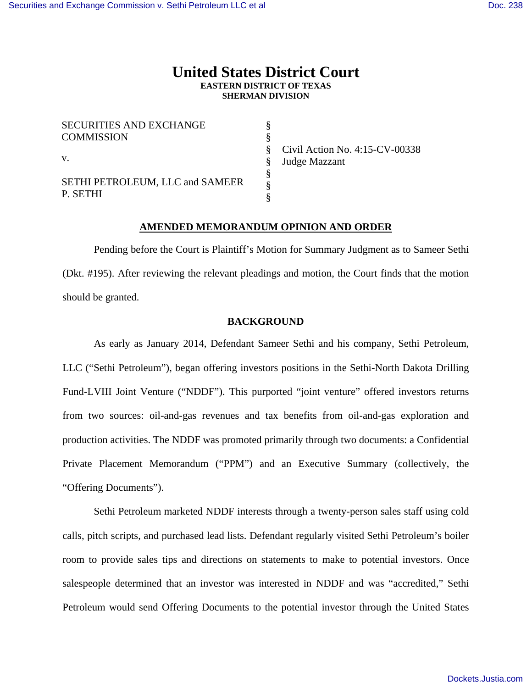# **United States District Court EASTERN DISTRICT OF TEXAS SHERMAN DIVISION**

§ § § § § §

| <b>SECURITIES AND EXCHANGE</b>              |  |
|---------------------------------------------|--|
| <b>COMMISSION</b>                           |  |
| $V_{\cdot}$                                 |  |
| SETHI PETROLEUM, LLC and SAMEER<br>P. SETHI |  |

Civil Action No. 4:15-CV-00338 Judge Mazzant

# **AMENDED MEMORANDUM OPINION AND ORDER**

 Pending before the Court is Plaintiff's Motion for Summary Judgment as to Sameer Sethi (Dkt. #195). After reviewing the relevant pleadings and motion, the Court finds that the motion should be granted.

### **BACKGROUND**

 As early as January 2014, Defendant Sameer Sethi and his company, Sethi Petroleum, LLC ("Sethi Petroleum"), began offering investors positions in the Sethi-North Dakota Drilling Fund-LVIII Joint Venture ("NDDF"). This purported "joint venture" offered investors returns from two sources: oil-and-gas revenues and tax benefits from oil-and-gas exploration and production activities. The NDDF was promoted primarily through two documents: a Confidential Private Placement Memorandum ("PPM") and an Executive Summary (collectively, the "Offering Documents").

Sethi Petroleum marketed NDDF interests through a twenty-person sales staff using cold calls, pitch scripts, and purchased lead lists. Defendant regularly visited Sethi Petroleum's boiler room to provide sales tips and directions on statements to make to potential investors. Once salespeople determined that an investor was interested in NDDF and was "accredited," Sethi Petroleum would send Offering Documents to the potential investor through the United States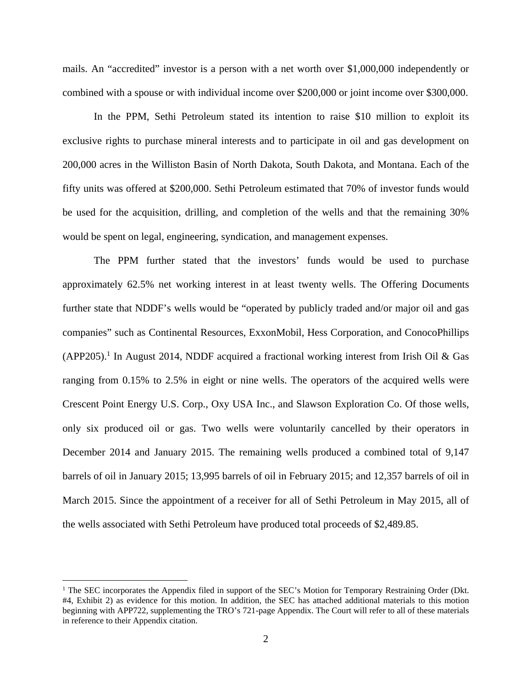mails. An "accredited" investor is a person with a net worth over \$1,000,000 independently or combined with a spouse or with individual income over \$200,000 or joint income over \$300,000.

 In the PPM, Sethi Petroleum stated its intention to raise \$10 million to exploit its exclusive rights to purchase mineral interests and to participate in oil and gas development on 200,000 acres in the Williston Basin of North Dakota, South Dakota, and Montana. Each of the fifty units was offered at \$200,000. Sethi Petroleum estimated that 70% of investor funds would be used for the acquisition, drilling, and completion of the wells and that the remaining 30% would be spent on legal, engineering, syndication, and management expenses.

The PPM further stated that the investors' funds would be used to purchase approximately 62.5% net working interest in at least twenty wells. The Offering Documents further state that NDDF's wells would be "operated by publicly traded and/or major oil and gas companies" such as Continental Resources, ExxonMobil, Hess Corporation, and ConocoPhillips (APP205).<sup>1</sup> In August 2014, NDDF acquired a fractional working interest from Irish Oil & Gas ranging from 0.15% to 2.5% in eight or nine wells. The operators of the acquired wells were Crescent Point Energy U.S. Corp., Oxy USA Inc., and Slawson Exploration Co. Of those wells, only six produced oil or gas. Two wells were voluntarily cancelled by their operators in December 2014 and January 2015. The remaining wells produced a combined total of 9,147 barrels of oil in January 2015; 13,995 barrels of oil in February 2015; and 12,357 barrels of oil in March 2015. Since the appointment of a receiver for all of Sethi Petroleum in May 2015, all of the wells associated with Sethi Petroleum have produced total proceeds of \$2,489.85.

<u>.</u>

<sup>&</sup>lt;sup>1</sup> The SEC incorporates the Appendix filed in support of the SEC's Motion for Temporary Restraining Order (Dkt. #4, Exhibit 2) as evidence for this motion. In addition, the SEC has attached additional materials to this motion beginning with APP722, supplementing the TRO's 721-page Appendix. The Court will refer to all of these materials in reference to their Appendix citation.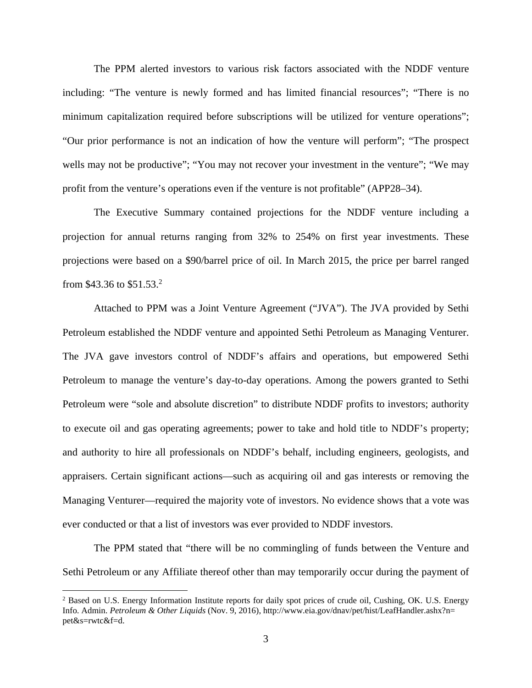The PPM alerted investors to various risk factors associated with the NDDF venture including: "The venture is newly formed and has limited financial resources"; "There is no minimum capitalization required before subscriptions will be utilized for venture operations"; "Our prior performance is not an indication of how the venture will perform"; "The prospect wells may not be productive"; "You may not recover your investment in the venture"; "We may profit from the venture's operations even if the venture is not profitable" (APP28–34).

The Executive Summary contained projections for the NDDF venture including a projection for annual returns ranging from 32% to 254% on first year investments. These projections were based on a \$90/barrel price of oil. In March 2015, the price per barrel ranged from \$43.36 to \$51.53.<sup>2</sup>

Attached to PPM was a Joint Venture Agreement ("JVA"). The JVA provided by Sethi Petroleum established the NDDF venture and appointed Sethi Petroleum as Managing Venturer. The JVA gave investors control of NDDF's affairs and operations, but empowered Sethi Petroleum to manage the venture's day-to-day operations. Among the powers granted to Sethi Petroleum were "sole and absolute discretion" to distribute NDDF profits to investors; authority to execute oil and gas operating agreements; power to take and hold title to NDDF's property; and authority to hire all professionals on NDDF's behalf, including engineers, geologists, and appraisers. Certain significant actions—such as acquiring oil and gas interests or removing the Managing Venturer—required the majority vote of investors. No evidence shows that a vote was ever conducted or that a list of investors was ever provided to NDDF investors.

 The PPM stated that "there will be no commingling of funds between the Venture and Sethi Petroleum or any Affiliate thereof other than may temporarily occur during the payment of

 $\overline{a}$ 

<sup>&</sup>lt;sup>2</sup> Based on U.S. Energy Information Institute reports for daily spot prices of crude oil, Cushing, OK. U.S. Energy Info. Admin. *Petroleum & Other Liquids* (Nov. 9, 2016), http://www.eia.gov/dnav/pet/hist/LeafHandler.ashx?n= pet&s=rwtc&f=d.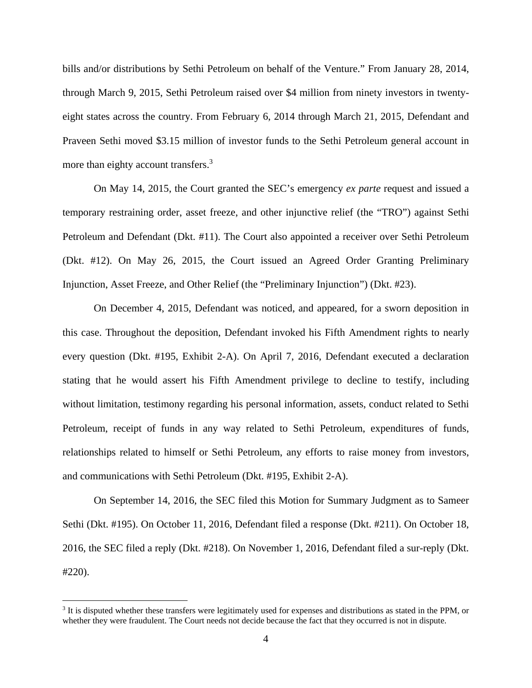bills and/or distributions by Sethi Petroleum on behalf of the Venture." From January 28, 2014, through March 9, 2015, Sethi Petroleum raised over \$4 million from ninety investors in twentyeight states across the country. From February 6, 2014 through March 21, 2015, Defendant and Praveen Sethi moved \$3.15 million of investor funds to the Sethi Petroleum general account in more than eighty account transfers.<sup>3</sup>

 On May 14, 2015, the Court granted the SEC's emergency *ex parte* request and issued a temporary restraining order, asset freeze, and other injunctive relief (the "TRO") against Sethi Petroleum and Defendant (Dkt. #11). The Court also appointed a receiver over Sethi Petroleum (Dkt. #12). On May 26, 2015, the Court issued an Agreed Order Granting Preliminary Injunction, Asset Freeze, and Other Relief (the "Preliminary Injunction") (Dkt. #23).

 On December 4, 2015, Defendant was noticed, and appeared, for a sworn deposition in this case. Throughout the deposition, Defendant invoked his Fifth Amendment rights to nearly every question (Dkt. #195, Exhibit 2-A). On April 7, 2016, Defendant executed a declaration stating that he would assert his Fifth Amendment privilege to decline to testify, including without limitation, testimony regarding his personal information, assets, conduct related to Sethi Petroleum, receipt of funds in any way related to Sethi Petroleum, expenditures of funds, relationships related to himself or Sethi Petroleum, any efforts to raise money from investors, and communications with Sethi Petroleum (Dkt. #195, Exhibit 2-A).

 On September 14, 2016, the SEC filed this Motion for Summary Judgment as to Sameer Sethi (Dkt. #195). On October 11, 2016, Defendant filed a response (Dkt. #211). On October 18, 2016, the SEC filed a reply (Dkt. #218). On November 1, 2016, Defendant filed a sur-reply (Dkt. #220).

 $\overline{a}$ 

<sup>&</sup>lt;sup>3</sup> It is disputed whether these transfers were legitimately used for expenses and distributions as stated in the PPM, or whether they were fraudulent. The Court needs not decide because the fact that they occurred is not in dispute.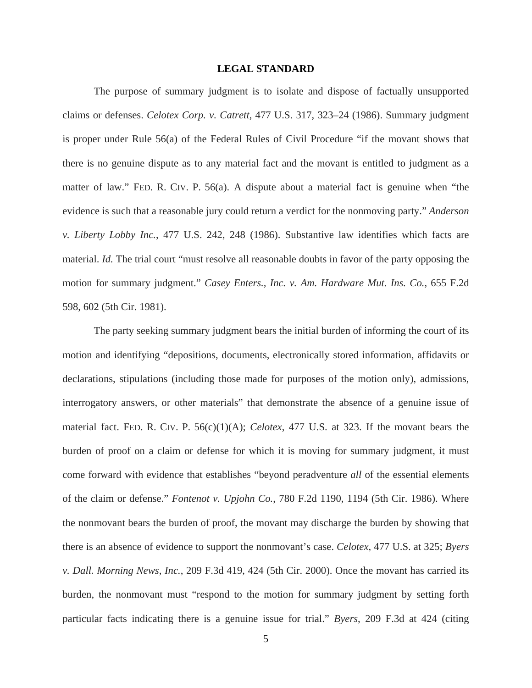#### **LEGAL STANDARD**

The purpose of summary judgment is to isolate and dispose of factually unsupported claims or defenses. *Celotex Corp. v. Catrett*, 477 U.S. 317, 323–24 (1986). Summary judgment is proper under Rule 56(a) of the Federal Rules of Civil Procedure "if the movant shows that there is no genuine dispute as to any material fact and the movant is entitled to judgment as a matter of law." FED. R. CIV. P. 56(a). A dispute about a material fact is genuine when "the evidence is such that a reasonable jury could return a verdict for the nonmoving party." *Anderson v. Liberty Lobby Inc.*, 477 U.S. 242, 248 (1986). Substantive law identifies which facts are material. *Id.* The trial court "must resolve all reasonable doubts in favor of the party opposing the motion for summary judgment." *Casey Enters., Inc. v. Am. Hardware Mut. Ins. Co.*, 655 F.2d 598, 602 (5th Cir. 1981).

The party seeking summary judgment bears the initial burden of informing the court of its motion and identifying "depositions, documents, electronically stored information, affidavits or declarations, stipulations (including those made for purposes of the motion only), admissions, interrogatory answers, or other materials" that demonstrate the absence of a genuine issue of material fact. FED. R. CIV. P. 56(c)(1)(A); *Celotex*, 477 U.S. at 323. If the movant bears the burden of proof on a claim or defense for which it is moving for summary judgment, it must come forward with evidence that establishes "beyond peradventure *all* of the essential elements of the claim or defense." *Fontenot v. Upjohn Co.*, 780 F.2d 1190, 1194 (5th Cir. 1986). Where the nonmovant bears the burden of proof, the movant may discharge the burden by showing that there is an absence of evidence to support the nonmovant's case. *Celotex*, 477 U.S. at 325; *Byers v. Dall. Morning News, Inc.*, 209 F.3d 419, 424 (5th Cir. 2000). Once the movant has carried its burden, the nonmovant must "respond to the motion for summary judgment by setting forth particular facts indicating there is a genuine issue for trial." *Byers*, 209 F.3d at 424 (citing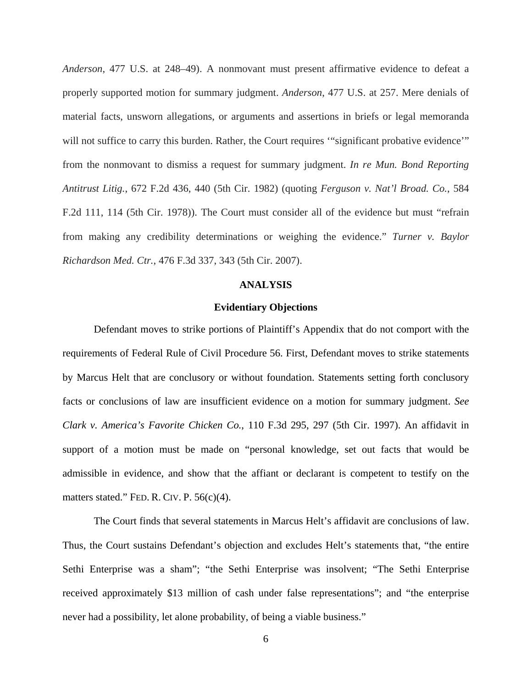*Anderson*, 477 U.S. at 248–49). A nonmovant must present affirmative evidence to defeat a properly supported motion for summary judgment. *Anderson*, 477 U.S. at 257. Mere denials of material facts, unsworn allegations, or arguments and assertions in briefs or legal memoranda will not suffice to carry this burden. Rather, the Court requires "significant probative evidence" from the nonmovant to dismiss a request for summary judgment. *In re Mun. Bond Reporting Antitrust Litig.*, 672 F.2d 436, 440 (5th Cir. 1982) (quoting *Ferguson v. Nat'l Broad. Co.*, 584 F.2d 111, 114 (5th Cir. 1978)). The Court must consider all of the evidence but must "refrain from making any credibility determinations or weighing the evidence." *Turner v. Baylor Richardson Med. Ctr.*, 476 F.3d 337, 343 (5th Cir. 2007).

#### **ANALYSIS**

#### **Evidentiary Objections**

 Defendant moves to strike portions of Plaintiff's Appendix that do not comport with the requirements of Federal Rule of Civil Procedure 56. First, Defendant moves to strike statements by Marcus Helt that are conclusory or without foundation. Statements setting forth conclusory facts or conclusions of law are insufficient evidence on a motion for summary judgment. *See Clark v. America's Favorite Chicken Co.*, 110 F.3d 295, 297 (5th Cir. 1997). An affidavit in support of a motion must be made on "personal knowledge, set out facts that would be admissible in evidence, and show that the affiant or declarant is competent to testify on the matters stated." FED. R. CIV. P. 56(c)(4).

The Court finds that several statements in Marcus Helt's affidavit are conclusions of law. Thus, the Court sustains Defendant's objection and excludes Helt's statements that, "the entire Sethi Enterprise was a sham"; "the Sethi Enterprise was insolvent; "The Sethi Enterprise received approximately \$13 million of cash under false representations"; and "the enterprise never had a possibility, let alone probability, of being a viable business."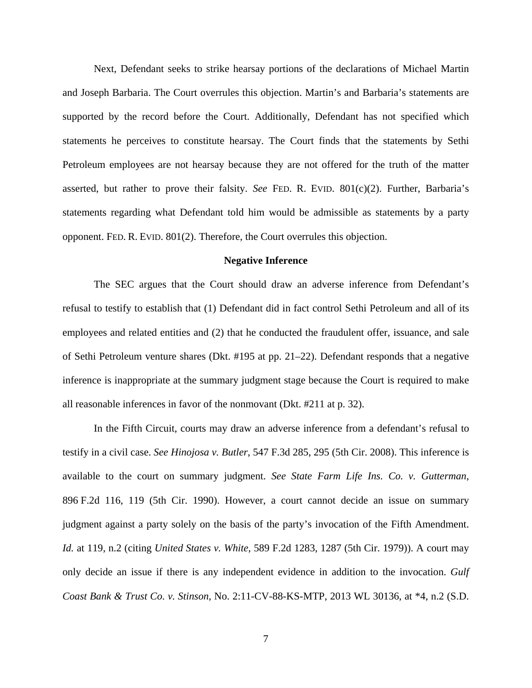Next, Defendant seeks to strike hearsay portions of the declarations of Michael Martin and Joseph Barbaria. The Court overrules this objection. Martin's and Barbaria's statements are supported by the record before the Court. Additionally, Defendant has not specified which statements he perceives to constitute hearsay. The Court finds that the statements by Sethi Petroleum employees are not hearsay because they are not offered for the truth of the matter asserted, but rather to prove their falsity. *See* FED. R. EVID. 801(c)(2). Further, Barbaria's statements regarding what Defendant told him would be admissible as statements by a party opponent. FED. R. EVID. 801(2). Therefore, the Court overrules this objection.

#### **Negative Inference**

The SEC argues that the Court should draw an adverse inference from Defendant's refusal to testify to establish that (1) Defendant did in fact control Sethi Petroleum and all of its employees and related entities and (2) that he conducted the fraudulent offer, issuance, and sale of Sethi Petroleum venture shares (Dkt. #195 at pp. 21–22). Defendant responds that a negative inference is inappropriate at the summary judgment stage because the Court is required to make all reasonable inferences in favor of the nonmovant (Dkt. #211 at p. 32).

In the Fifth Circuit, courts may draw an adverse inference from a defendant's refusal to testify in a civil case. *See Hinojosa v. Butler*, 547 F.3d 285, 295 (5th Cir. 2008). This inference is available to the court on summary judgment. *See State Farm Life Ins. Co. v. Gutterman*, 896 F.2d 116, 119 (5th Cir. 1990). However, a court cannot decide an issue on summary judgment against a party solely on the basis of the party's invocation of the Fifth Amendment. *Id.* at 119, n.2 (citing *United States v. White*, 589 F.2d 1283, 1287 (5th Cir. 1979)). A court may only decide an issue if there is any independent evidence in addition to the invocation. *Gulf Coast Bank & Trust Co. v. Stinson*, No. 2:11-CV-88-KS-MTP, 2013 WL 30136, at \*4, n.2 (S.D.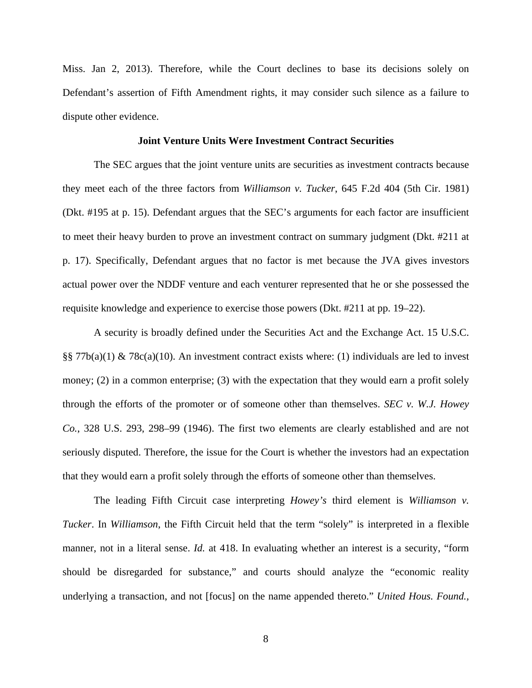Miss. Jan 2, 2013). Therefore, while the Court declines to base its decisions solely on Defendant's assertion of Fifth Amendment rights, it may consider such silence as a failure to dispute other evidence.

#### **Joint Venture Units Were Investment Contract Securities**

 The SEC argues that the joint venture units are securities as investment contracts because they meet each of the three factors from *Williamson v. Tucker*, 645 F.2d 404 (5th Cir. 1981) (Dkt. #195 at p. 15). Defendant argues that the SEC's arguments for each factor are insufficient to meet their heavy burden to prove an investment contract on summary judgment (Dkt. #211 at p. 17). Specifically, Defendant argues that no factor is met because the JVA gives investors actual power over the NDDF venture and each venturer represented that he or she possessed the requisite knowledge and experience to exercise those powers (Dkt. #211 at pp. 19–22).

 A security is broadly defined under the Securities Act and the Exchange Act. 15 U.S.C. §§ 77b(a)(1) & 78c(a)(10). An investment contract exists where: (1) individuals are led to invest money; (2) in a common enterprise; (3) with the expectation that they would earn a profit solely through the efforts of the promoter or of someone other than themselves. *SEC v. W.J. Howey Co.*, 328 U.S. 293, 298–99 (1946). The first two elements are clearly established and are not seriously disputed. Therefore, the issue for the Court is whether the investors had an expectation that they would earn a profit solely through the efforts of someone other than themselves.

The leading Fifth Circuit case interpreting *Howey's* third element is *Williamson v. Tucker*. In *Williamson*, the Fifth Circuit held that the term "solely" is interpreted in a flexible manner, not in a literal sense. *Id.* at 418. In evaluating whether an interest is a security, "form should be disregarded for substance," and courts should analyze the "economic reality underlying a transaction, and not [focus] on the name appended thereto." *United Hous. Found.,*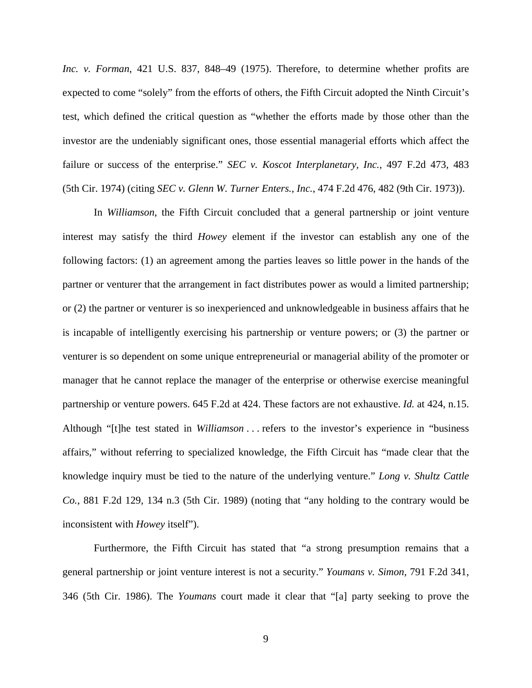*Inc. v. Forman*, 421 U.S. 837, 848–49 (1975). Therefore, to determine whether profits are expected to come "solely" from the efforts of others, the Fifth Circuit adopted the Ninth Circuit's test, which defined the critical question as "whether the efforts made by those other than the investor are the undeniably significant ones, those essential managerial efforts which affect the failure or success of the enterprise." *SEC v. Koscot Interplanetary, Inc.*, 497 F.2d 473, 483 (5th Cir. 1974) (citing *SEC v. Glenn W. Turner Enters., Inc.*, 474 F.2d 476, 482 (9th Cir. 1973)).

In *Williamson*, the Fifth Circuit concluded that a general partnership or joint venture interest may satisfy the third *Howey* element if the investor can establish any one of the following factors: (1) an agreement among the parties leaves so little power in the hands of the partner or venturer that the arrangement in fact distributes power as would a limited partnership; or (2) the partner or venturer is so inexperienced and unknowledgeable in business affairs that he is incapable of intelligently exercising his partnership or venture powers; or (3) the partner or venturer is so dependent on some unique entrepreneurial or managerial ability of the promoter or manager that he cannot replace the manager of the enterprise or otherwise exercise meaningful partnership or venture powers. 645 F.2d at 424. These factors are not exhaustive. *Id.* at 424, n.15. Although "[t]he test stated in *Williamson* . . . refers to the investor's experience in "business affairs," without referring to specialized knowledge, the Fifth Circuit has "made clear that the knowledge inquiry must be tied to the nature of the underlying venture." *Long v. Shultz Cattle Co.*, 881 F.2d 129, 134 n.3 (5th Cir. 1989) (noting that "any holding to the contrary would be inconsistent with *Howey* itself").

Furthermore, the Fifth Circuit has stated that "a strong presumption remains that a general partnership or joint venture interest is not a security." *Youmans v. Simon*, 791 F.2d 341, 346 (5th Cir. 1986). The *Youmans* court made it clear that "[a] party seeking to prove the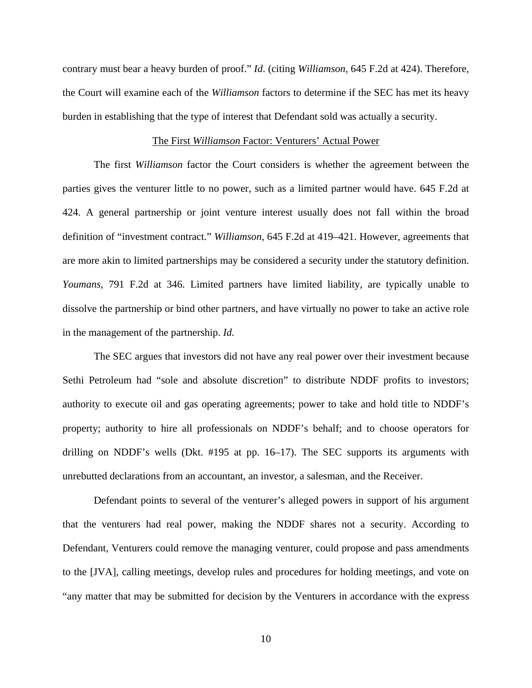contrary must bear a heavy burden of proof." *Id*. (citing *Williamson*, 645 F.2d at 424). Therefore, the Court will examine each of the *Williamson* factors to determine if the SEC has met its heavy burden in establishing that the type of interest that Defendant sold was actually a security.

#### The First *Williamson* Factor: Venturers' Actual Power

The first *Williamson* factor the Court considers is whether the agreement between the parties gives the venturer little to no power, such as a limited partner would have. 645 F.2d at 424. A general partnership or joint venture interest usually does not fall within the broad definition of "investment contract." *Williamson*, 645 F.2d at 419–421. However, agreements that are more akin to limited partnerships may be considered a security under the statutory definition. *Youmans*, 791 F.2d at 346. Limited partners have limited liability, are typically unable to dissolve the partnership or bind other partners, and have virtually no power to take an active role in the management of the partnership. *Id.*

The SEC argues that investors did not have any real power over their investment because Sethi Petroleum had "sole and absolute discretion" to distribute NDDF profits to investors; authority to execute oil and gas operating agreements; power to take and hold title to NDDF's property; authority to hire all professionals on NDDF's behalf; and to choose operators for drilling on NDDF's wells (Dkt. #195 at pp. 16–17). The SEC supports its arguments with unrebutted declarations from an accountant, an investor, a salesman, and the Receiver.

Defendant points to several of the venturer's alleged powers in support of his argument that the venturers had real power, making the NDDF shares not a security. According to Defendant, Venturers could remove the managing venturer, could propose and pass amendments to the [JVA], calling meetings, develop rules and procedures for holding meetings, and vote on "any matter that may be submitted for decision by the Venturers in accordance with the express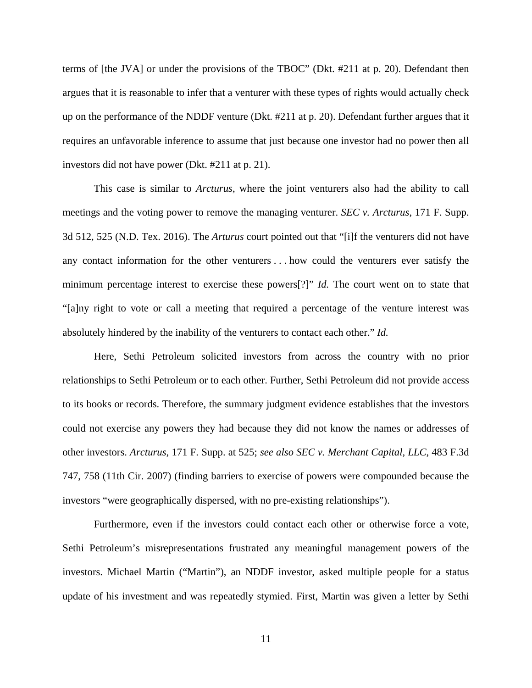terms of [the JVA] or under the provisions of the TBOC" (Dkt. #211 at p. 20). Defendant then argues that it is reasonable to infer that a venturer with these types of rights would actually check up on the performance of the NDDF venture (Dkt. #211 at p. 20). Defendant further argues that it requires an unfavorable inference to assume that just because one investor had no power then all investors did not have power (Dkt. #211 at p. 21).

This case is similar to *Arcturus*, where the joint venturers also had the ability to call meetings and the voting power to remove the managing venturer. *SEC v. Arcturus*, 171 F. Supp. 3d 512, 525 (N.D. Tex. 2016). The *Arturus* court pointed out that "[i]f the venturers did not have any contact information for the other venturers . . . how could the venturers ever satisfy the minimum percentage interest to exercise these powers[?]" *Id.* The court went on to state that "[a]ny right to vote or call a meeting that required a percentage of the venture interest was absolutely hindered by the inability of the venturers to contact each other." *Id.*

Here, Sethi Petroleum solicited investors from across the country with no prior relationships to Sethi Petroleum or to each other. Further, Sethi Petroleum did not provide access to its books or records. Therefore, the summary judgment evidence establishes that the investors could not exercise any powers they had because they did not know the names or addresses of other investors. *Arcturus*, 171 F. Supp. at 525; *see also SEC v. Merchant Capital, LLC*, 483 F.3d 747, 758 (11th Cir. 2007) (finding barriers to exercise of powers were compounded because the investors "were geographically dispersed, with no pre-existing relationships").

Furthermore, even if the investors could contact each other or otherwise force a vote, Sethi Petroleum's misrepresentations frustrated any meaningful management powers of the investors. Michael Martin ("Martin"), an NDDF investor, asked multiple people for a status update of his investment and was repeatedly stymied. First, Martin was given a letter by Sethi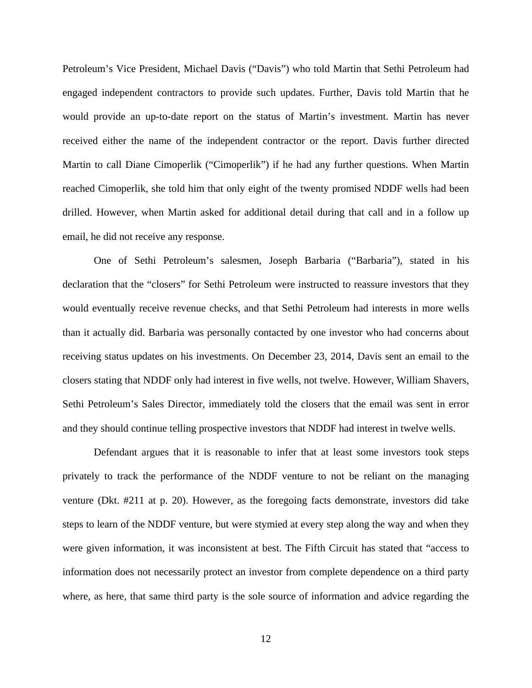Petroleum's Vice President, Michael Davis ("Davis") who told Martin that Sethi Petroleum had engaged independent contractors to provide such updates. Further, Davis told Martin that he would provide an up-to-date report on the status of Martin's investment. Martin has never received either the name of the independent contractor or the report. Davis further directed Martin to call Diane Cimoperlik ("Cimoperlik") if he had any further questions. When Martin reached Cimoperlik, she told him that only eight of the twenty promised NDDF wells had been drilled. However, when Martin asked for additional detail during that call and in a follow up email, he did not receive any response.

One of Sethi Petroleum's salesmen, Joseph Barbaria ("Barbaria"), stated in his declaration that the "closers" for Sethi Petroleum were instructed to reassure investors that they would eventually receive revenue checks, and that Sethi Petroleum had interests in more wells than it actually did. Barbaria was personally contacted by one investor who had concerns about receiving status updates on his investments. On December 23, 2014, Davis sent an email to the closers stating that NDDF only had interest in five wells, not twelve. However, William Shavers, Sethi Petroleum's Sales Director, immediately told the closers that the email was sent in error and they should continue telling prospective investors that NDDF had interest in twelve wells.

Defendant argues that it is reasonable to infer that at least some investors took steps privately to track the performance of the NDDF venture to not be reliant on the managing venture (Dkt. #211 at p. 20). However, as the foregoing facts demonstrate, investors did take steps to learn of the NDDF venture, but were stymied at every step along the way and when they were given information, it was inconsistent at best. The Fifth Circuit has stated that "access to information does not necessarily protect an investor from complete dependence on a third party where, as here, that same third party is the sole source of information and advice regarding the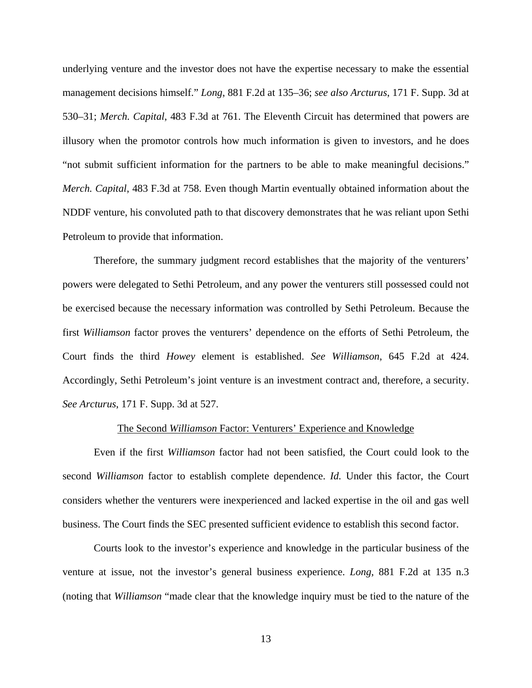underlying venture and the investor does not have the expertise necessary to make the essential management decisions himself." *Long*, 881 F.2d at 135–36; *see also Arcturus*, 171 F. Supp. 3d at 530–31; *Merch. Capital*, 483 F.3d at 761. The Eleventh Circuit has determined that powers are illusory when the promotor controls how much information is given to investors, and he does "not submit sufficient information for the partners to be able to make meaningful decisions." *Merch. Capital*, 483 F.3d at 758. Even though Martin eventually obtained information about the NDDF venture, his convoluted path to that discovery demonstrates that he was reliant upon Sethi Petroleum to provide that information.

Therefore, the summary judgment record establishes that the majority of the venturers' powers were delegated to Sethi Petroleum, and any power the venturers still possessed could not be exercised because the necessary information was controlled by Sethi Petroleum. Because the first *Williamson* factor proves the venturers' dependence on the efforts of Sethi Petroleum, the Court finds the third *Howey* element is established. *See Williamson*, 645 F.2d at 424. Accordingly, Sethi Petroleum's joint venture is an investment contract and, therefore, a security. *See Arcturus*, 171 F. Supp. 3d at 527.

#### The Second *Williamson* Factor: Venturers' Experience and Knowledge

Even if the first *Williamson* factor had not been satisfied, the Court could look to the second *Williamson* factor to establish complete dependence. *Id.* Under this factor, the Court considers whether the venturers were inexperienced and lacked expertise in the oil and gas well business. The Court finds the SEC presented sufficient evidence to establish this second factor.

Courts look to the investor's experience and knowledge in the particular business of the venture at issue, not the investor's general business experience. *Long*, 881 F.2d at 135 n.3 (noting that *Williamson* "made clear that the knowledge inquiry must be tied to the nature of the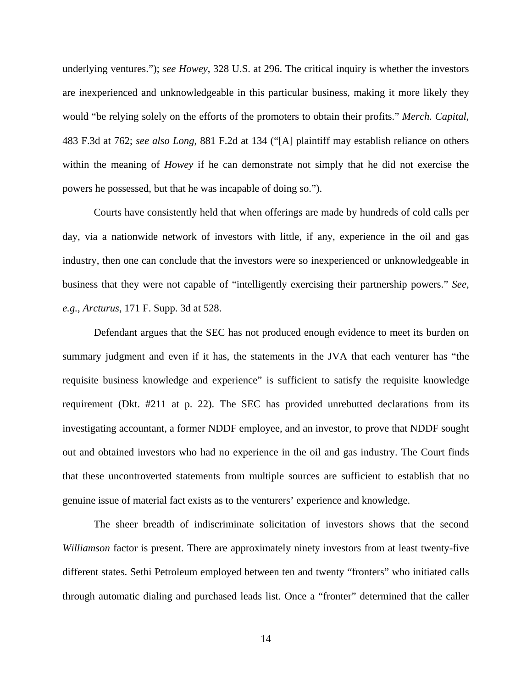underlying ventures."); *see Howey*, 328 U.S. at 296. The critical inquiry is whether the investors are inexperienced and unknowledgeable in this particular business, making it more likely they would "be relying solely on the efforts of the promoters to obtain their profits." *Merch. Capital*, 483 F.3d at 762; *see also Long*, 881 F.2d at 134 ("[A] plaintiff may establish reliance on others within the meaning of *Howey* if he can demonstrate not simply that he did not exercise the powers he possessed, but that he was incapable of doing so.").

Courts have consistently held that when offerings are made by hundreds of cold calls per day, via a nationwide network of investors with little, if any, experience in the oil and gas industry, then one can conclude that the investors were so inexperienced or unknowledgeable in business that they were not capable of "intelligently exercising their partnership powers." *See, e.g.*, *Arcturus*, 171 F. Supp. 3d at 528.

 Defendant argues that the SEC has not produced enough evidence to meet its burden on summary judgment and even if it has, the statements in the JVA that each venturer has "the requisite business knowledge and experience" is sufficient to satisfy the requisite knowledge requirement (Dkt. #211 at p. 22). The SEC has provided unrebutted declarations from its investigating accountant, a former NDDF employee, and an investor, to prove that NDDF sought out and obtained investors who had no experience in the oil and gas industry. The Court finds that these uncontroverted statements from multiple sources are sufficient to establish that no genuine issue of material fact exists as to the venturers' experience and knowledge.

 The sheer breadth of indiscriminate solicitation of investors shows that the second *Williamson* factor is present. There are approximately ninety investors from at least twenty-five different states. Sethi Petroleum employed between ten and twenty "fronters" who initiated calls through automatic dialing and purchased leads list. Once a "fronter" determined that the caller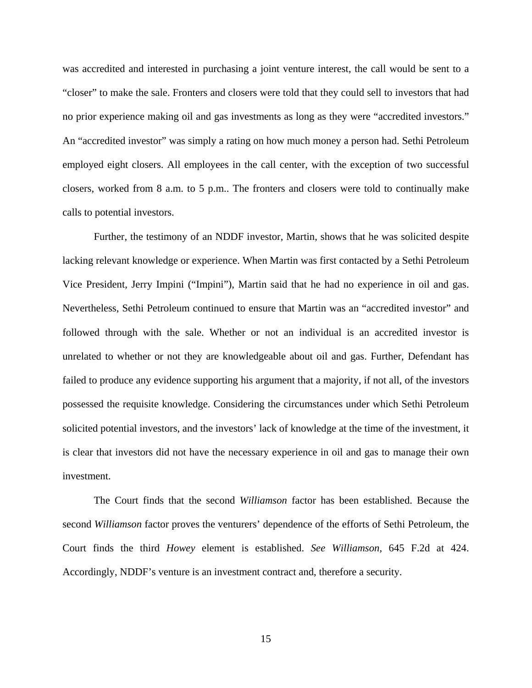was accredited and interested in purchasing a joint venture interest, the call would be sent to a "closer" to make the sale. Fronters and closers were told that they could sell to investors that had no prior experience making oil and gas investments as long as they were "accredited investors." An "accredited investor" was simply a rating on how much money a person had. Sethi Petroleum employed eight closers. All employees in the call center, with the exception of two successful closers, worked from 8 a.m. to 5 p.m.. The fronters and closers were told to continually make calls to potential investors.

 Further, the testimony of an NDDF investor, Martin, shows that he was solicited despite lacking relevant knowledge or experience. When Martin was first contacted by a Sethi Petroleum Vice President, Jerry Impini ("Impini"), Martin said that he had no experience in oil and gas. Nevertheless, Sethi Petroleum continued to ensure that Martin was an "accredited investor" and followed through with the sale. Whether or not an individual is an accredited investor is unrelated to whether or not they are knowledgeable about oil and gas. Further, Defendant has failed to produce any evidence supporting his argument that a majority, if not all, of the investors possessed the requisite knowledge. Considering the circumstances under which Sethi Petroleum solicited potential investors, and the investors' lack of knowledge at the time of the investment, it is clear that investors did not have the necessary experience in oil and gas to manage their own investment.

 The Court finds that the second *Williamson* factor has been established. Because the second *Williamson* factor proves the venturers' dependence of the efforts of Sethi Petroleum, the Court finds the third *Howey* element is established. *See Williamson*, 645 F.2d at 424. Accordingly, NDDF's venture is an investment contract and, therefore a security.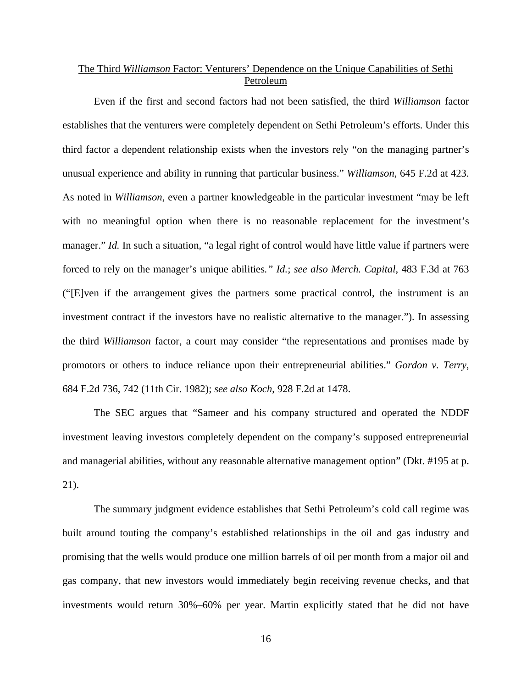# The Third *Williamson* Factor: Venturers' Dependence on the Unique Capabilities of Sethi Petroleum

 Even if the first and second factors had not been satisfied, the third *Williamson* factor establishes that the venturers were completely dependent on Sethi Petroleum's efforts. Under this third factor a dependent relationship exists when the investors rely "on the managing partner's unusual experience and ability in running that particular business." *Williamson*, 645 F.2d at 423. As noted in *Williamson*, even a partner knowledgeable in the particular investment "may be left with no meaningful option when there is no reasonable replacement for the investment's manager." *Id.* In such a situation, "a legal right of control would have little value if partners were forced to rely on the manager's unique abilities*." Id.*; *see also Merch. Capital*, 483 F.3d at 763 ("[E]ven if the arrangement gives the partners some practical control, the instrument is an investment contract if the investors have no realistic alternative to the manager."). In assessing the third *Williamson* factor, a court may consider "the representations and promises made by promotors or others to induce reliance upon their entrepreneurial abilities." *Gordon v. Terry*, 684 F.2d 736, 742 (11th Cir. 1982); *see also Koch*, 928 F.2d at 1478.

 The SEC argues that "Sameer and his company structured and operated the NDDF investment leaving investors completely dependent on the company's supposed entrepreneurial and managerial abilities, without any reasonable alternative management option" (Dkt. #195 at p. 21).

The summary judgment evidence establishes that Sethi Petroleum's cold call regime was built around touting the company's established relationships in the oil and gas industry and promising that the wells would produce one million barrels of oil per month from a major oil and gas company, that new investors would immediately begin receiving revenue checks, and that investments would return 30%–60% per year. Martin explicitly stated that he did not have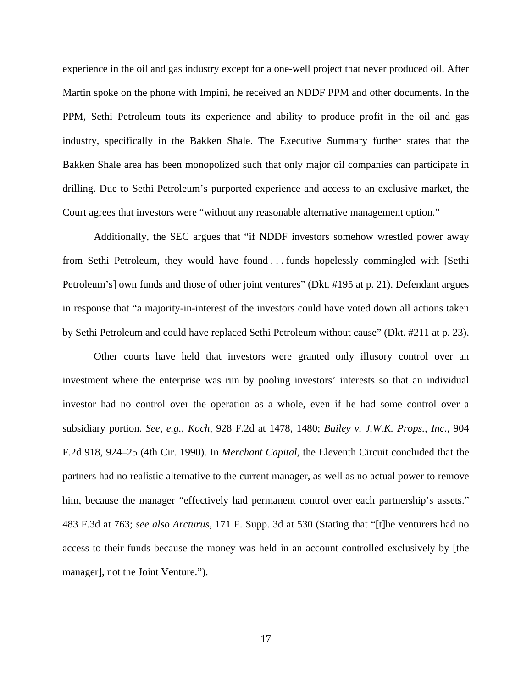experience in the oil and gas industry except for a one-well project that never produced oil. After Martin spoke on the phone with Impini, he received an NDDF PPM and other documents. In the PPM, Sethi Petroleum touts its experience and ability to produce profit in the oil and gas industry, specifically in the Bakken Shale. The Executive Summary further states that the Bakken Shale area has been monopolized such that only major oil companies can participate in drilling. Due to Sethi Petroleum's purported experience and access to an exclusive market, the Court agrees that investors were "without any reasonable alternative management option."

 Additionally, the SEC argues that "if NDDF investors somehow wrestled power away from Sethi Petroleum, they would have found . . . funds hopelessly commingled with [Sethi Petroleum's] own funds and those of other joint ventures" (Dkt. #195 at p. 21). Defendant argues in response that "a majority-in-interest of the investors could have voted down all actions taken by Sethi Petroleum and could have replaced Sethi Petroleum without cause" (Dkt. #211 at p. 23).

 Other courts have held that investors were granted only illusory control over an investment where the enterprise was run by pooling investors' interests so that an individual investor had no control over the operation as a whole, even if he had some control over a subsidiary portion. *See, e.g.*, *Koch*, 928 F.2d at 1478, 1480; *Bailey v. J.W.K. Props., Inc.*, 904 F.2d 918, 924–25 (4th Cir. 1990). In *Merchant Capital*, the Eleventh Circuit concluded that the partners had no realistic alternative to the current manager, as well as no actual power to remove him, because the manager "effectively had permanent control over each partnership's assets." 483 F.3d at 763; *see also Arcturus*, 171 F. Supp. 3d at 530 (Stating that "[t]he venturers had no access to their funds because the money was held in an account controlled exclusively by [the manager], not the Joint Venture.").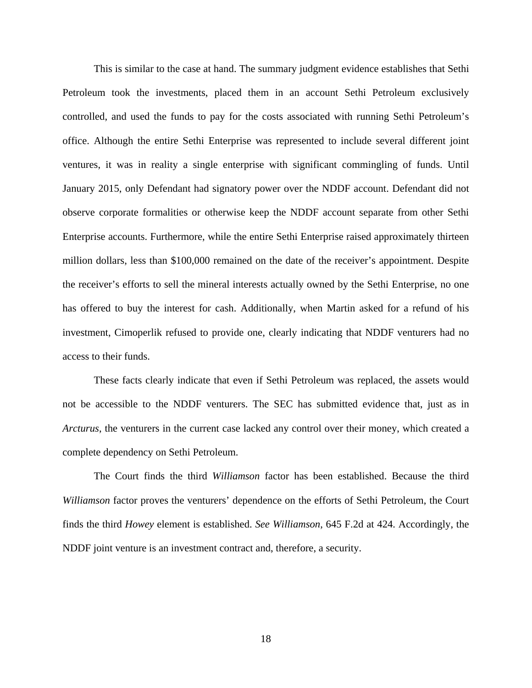This is similar to the case at hand. The summary judgment evidence establishes that Sethi Petroleum took the investments, placed them in an account Sethi Petroleum exclusively controlled, and used the funds to pay for the costs associated with running Sethi Petroleum's office. Although the entire Sethi Enterprise was represented to include several different joint ventures, it was in reality a single enterprise with significant commingling of funds. Until January 2015, only Defendant had signatory power over the NDDF account. Defendant did not observe corporate formalities or otherwise keep the NDDF account separate from other Sethi Enterprise accounts. Furthermore, while the entire Sethi Enterprise raised approximately thirteen million dollars, less than \$100,000 remained on the date of the receiver's appointment. Despite the receiver's efforts to sell the mineral interests actually owned by the Sethi Enterprise, no one has offered to buy the interest for cash. Additionally, when Martin asked for a refund of his investment, Cimoperlik refused to provide one, clearly indicating that NDDF venturers had no access to their funds.

These facts clearly indicate that even if Sethi Petroleum was replaced, the assets would not be accessible to the NDDF venturers. The SEC has submitted evidence that, just as in *Arcturus*, the venturers in the current case lacked any control over their money, which created a complete dependency on Sethi Petroleum.

 The Court finds the third *Williamson* factor has been established. Because the third *Williamson* factor proves the venturers' dependence on the efforts of Sethi Petroleum, the Court finds the third *Howey* element is established. *See Williamson*, 645 F.2d at 424. Accordingly, the NDDF joint venture is an investment contract and, therefore, a security.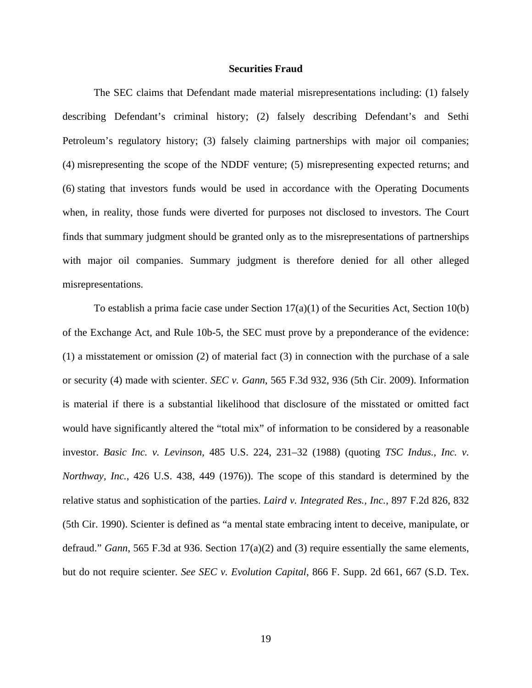#### **Securities Fraud**

 The SEC claims that Defendant made material misrepresentations including: (1) falsely describing Defendant's criminal history; (2) falsely describing Defendant's and Sethi Petroleum's regulatory history; (3) falsely claiming partnerships with major oil companies; (4) misrepresenting the scope of the NDDF venture; (5) misrepresenting expected returns; and (6) stating that investors funds would be used in accordance with the Operating Documents when, in reality, those funds were diverted for purposes not disclosed to investors. The Court finds that summary judgment should be granted only as to the misrepresentations of partnerships with major oil companies. Summary judgment is therefore denied for all other alleged misrepresentations.

To establish a prima facie case under Section 17(a)(1) of the Securities Act, Section 10(b) of the Exchange Act, and Rule 10b-5, the SEC must prove by a preponderance of the evidence: (1) a misstatement or omission (2) of material fact (3) in connection with the purchase of a sale or security (4) made with scienter. *SEC v. Gann*, 565 F.3d 932, 936 (5th Cir. 2009). Information is material if there is a substantial likelihood that disclosure of the misstated or omitted fact would have significantly altered the "total mix" of information to be considered by a reasonable investor. *Basic Inc. v. Levinson*, 485 U.S. 224, 231–32 (1988) (quoting *TSC Indus., Inc. v. Northway, Inc.*, 426 U.S. 438, 449 (1976)). The scope of this standard is determined by the relative status and sophistication of the parties. *Laird v. Integrated Res., Inc.*, 897 F.2d 826, 832 (5th Cir. 1990). Scienter is defined as "a mental state embracing intent to deceive, manipulate, or defraud." *Gann*, 565 F.3d at 936. Section 17(a)(2) and (3) require essentially the same elements, but do not require scienter. *See SEC v. Evolution Capital*, 866 F. Supp. 2d 661, 667 (S.D. Tex.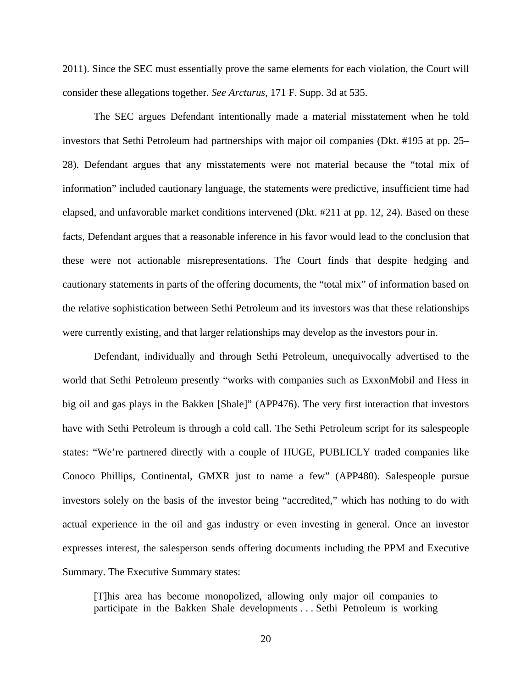2011). Since the SEC must essentially prove the same elements for each violation, the Court will consider these allegations together. *See Arcturus*, 171 F. Supp. 3d at 535.

The SEC argues Defendant intentionally made a material misstatement when he told investors that Sethi Petroleum had partnerships with major oil companies (Dkt. #195 at pp. 25– 28). Defendant argues that any misstatements were not material because the "total mix of information" included cautionary language, the statements were predictive, insufficient time had elapsed, and unfavorable market conditions intervened (Dkt. #211 at pp. 12, 24). Based on these facts, Defendant argues that a reasonable inference in his favor would lead to the conclusion that these were not actionable misrepresentations. The Court finds that despite hedging and cautionary statements in parts of the offering documents, the "total mix" of information based on the relative sophistication between Sethi Petroleum and its investors was that these relationships were currently existing, and that larger relationships may develop as the investors pour in.

Defendant, individually and through Sethi Petroleum, unequivocally advertised to the world that Sethi Petroleum presently "works with companies such as ExxonMobil and Hess in big oil and gas plays in the Bakken [Shale]" (APP476). The very first interaction that investors have with Sethi Petroleum is through a cold call. The Sethi Petroleum script for its salespeople states: "We're partnered directly with a couple of HUGE, PUBLICLY traded companies like Conoco Phillips, Continental, GMXR just to name a few" (APP480). Salespeople pursue investors solely on the basis of the investor being "accredited," which has nothing to do with actual experience in the oil and gas industry or even investing in general. Once an investor expresses interest, the salesperson sends offering documents including the PPM and Executive Summary. The Executive Summary states:

[T]his area has become monopolized, allowing only major oil companies to participate in the Bakken Shale developments . . . Sethi Petroleum is working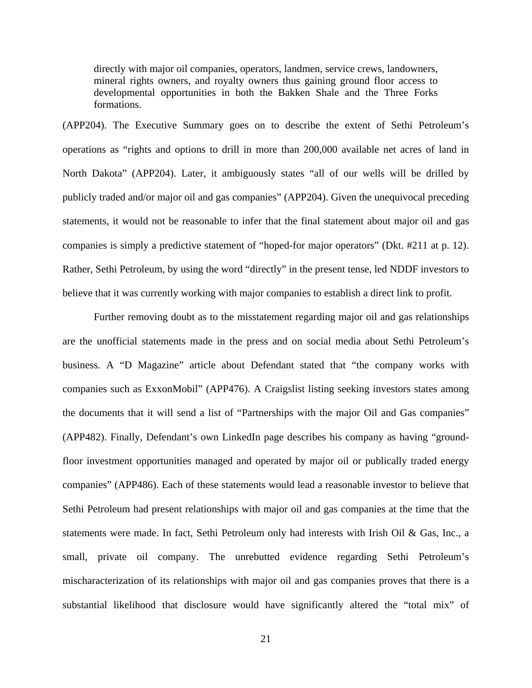directly with major oil companies, operators, landmen, service crews, landowners, mineral rights owners, and royalty owners thus gaining ground floor access to developmental opportunities in both the Bakken Shale and the Three Forks formations.

(APP204). The Executive Summary goes on to describe the extent of Sethi Petroleum's operations as "rights and options to drill in more than 200,000 available net acres of land in North Dakota" (APP204). Later, it ambiguously states "all of our wells will be drilled by publicly traded and/or major oil and gas companies" (APP204). Given the unequivocal preceding statements, it would not be reasonable to infer that the final statement about major oil and gas companies is simply a predictive statement of "hoped-for major operators" (Dkt. #211 at p. 12). Rather, Sethi Petroleum, by using the word "directly" in the present tense, led NDDF investors to believe that it was currently working with major companies to establish a direct link to profit.

Further removing doubt as to the misstatement regarding major oil and gas relationships are the unofficial statements made in the press and on social media about Sethi Petroleum's business. A "D Magazine" article about Defendant stated that "the company works with companies such as ExxonMobil" (APP476). A Craigslist listing seeking investors states among the documents that it will send a list of "Partnerships with the major Oil and Gas companies" (APP482). Finally, Defendant's own LinkedIn page describes his company as having "groundfloor investment opportunities managed and operated by major oil or publically traded energy companies" (APP486). Each of these statements would lead a reasonable investor to believe that Sethi Petroleum had present relationships with major oil and gas companies at the time that the statements were made. In fact, Sethi Petroleum only had interests with Irish Oil & Gas, Inc., a small, private oil company. The unrebutted evidence regarding Sethi Petroleum's mischaracterization of its relationships with major oil and gas companies proves that there is a substantial likelihood that disclosure would have significantly altered the "total mix" of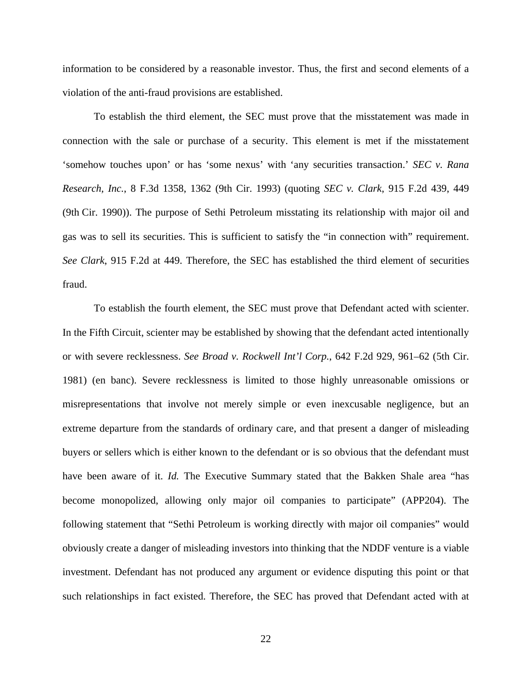information to be considered by a reasonable investor. Thus, the first and second elements of a violation of the anti-fraud provisions are established.

To establish the third element, the SEC must prove that the misstatement was made in connection with the sale or purchase of a security. This element is met if the misstatement 'somehow touches upon' or has 'some nexus' with 'any securities transaction.' *SEC v. Rana Research, Inc.*, 8 F.3d 1358, 1362 (9th Cir. 1993) (quoting *SEC v. Clark*, 915 F.2d 439, 449 (9th Cir. 1990)). The purpose of Sethi Petroleum misstating its relationship with major oil and gas was to sell its securities. This is sufficient to satisfy the "in connection with" requirement. *See Clark*, 915 F.2d at 449. Therefore, the SEC has established the third element of securities fraud.

To establish the fourth element, the SEC must prove that Defendant acted with scienter. In the Fifth Circuit, scienter may be established by showing that the defendant acted intentionally or with severe recklessness. *See Broad v. Rockwell Int'l Corp.*, 642 F.2d 929, 961–62 (5th Cir. 1981) (en banc). Severe recklessness is limited to those highly unreasonable omissions or misrepresentations that involve not merely simple or even inexcusable negligence, but an extreme departure from the standards of ordinary care, and that present a danger of misleading buyers or sellers which is either known to the defendant or is so obvious that the defendant must have been aware of it. *Id.* The Executive Summary stated that the Bakken Shale area "has become monopolized, allowing only major oil companies to participate" (APP204). The following statement that "Sethi Petroleum is working directly with major oil companies" would obviously create a danger of misleading investors into thinking that the NDDF venture is a viable investment. Defendant has not produced any argument or evidence disputing this point or that such relationships in fact existed. Therefore, the SEC has proved that Defendant acted with at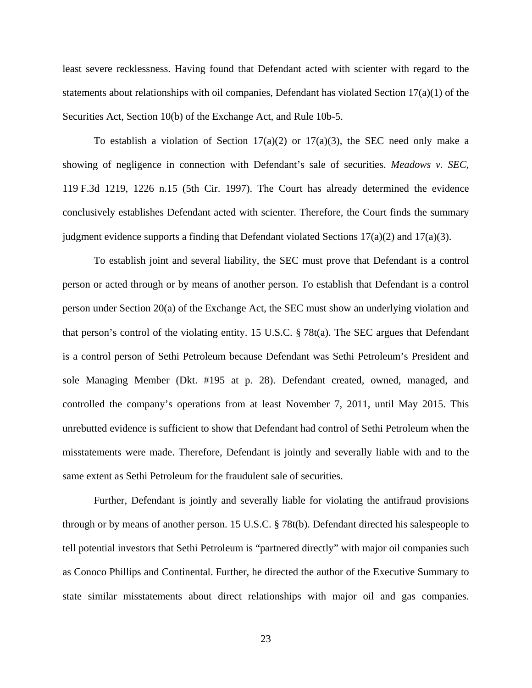least severe recklessness. Having found that Defendant acted with scienter with regard to the statements about relationships with oil companies, Defendant has violated Section  $17(a)(1)$  of the Securities Act, Section 10(b) of the Exchange Act, and Rule 10b-5.

To establish a violation of Section  $17(a)(2)$  or  $17(a)(3)$ , the SEC need only make a showing of negligence in connection with Defendant's sale of securities. *Meadows v. SEC*, 119 F.3d 1219, 1226 n.15 (5th Cir. 1997). The Court has already determined the evidence conclusively establishes Defendant acted with scienter. Therefore, the Court finds the summary judgment evidence supports a finding that Defendant violated Sections  $17(a)(2)$  and  $17(a)(3)$ .

To establish joint and several liability, the SEC must prove that Defendant is a control person or acted through or by means of another person. To establish that Defendant is a control person under Section 20(a) of the Exchange Act, the SEC must show an underlying violation and that person's control of the violating entity. 15 U.S.C. § 78t(a). The SEC argues that Defendant is a control person of Sethi Petroleum because Defendant was Sethi Petroleum's President and sole Managing Member (Dkt. #195 at p. 28). Defendant created, owned, managed, and controlled the company's operations from at least November 7, 2011, until May 2015. This unrebutted evidence is sufficient to show that Defendant had control of Sethi Petroleum when the misstatements were made. Therefore, Defendant is jointly and severally liable with and to the same extent as Sethi Petroleum for the fraudulent sale of securities.

Further, Defendant is jointly and severally liable for violating the antifraud provisions through or by means of another person. 15 U.S.C. § 78t(b). Defendant directed his salespeople to tell potential investors that Sethi Petroleum is "partnered directly" with major oil companies such as Conoco Phillips and Continental. Further, he directed the author of the Executive Summary to state similar misstatements about direct relationships with major oil and gas companies.